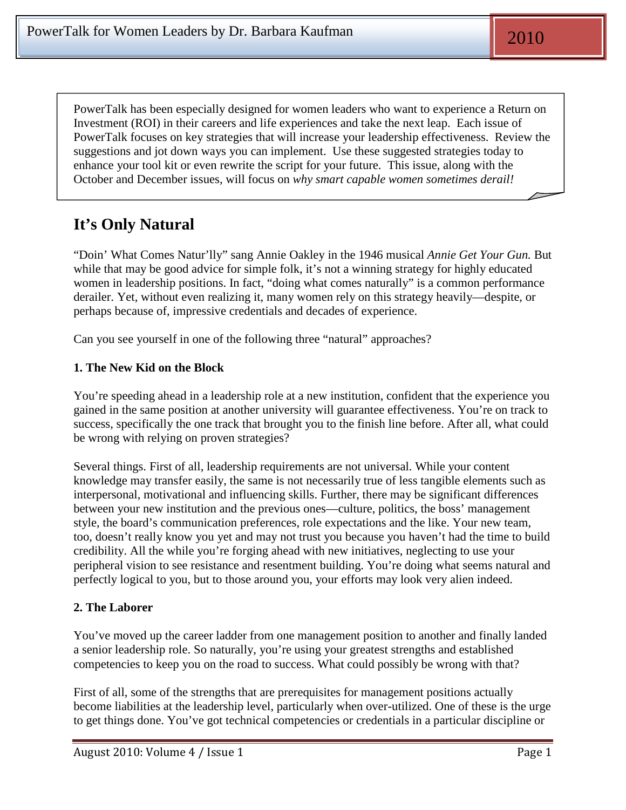PowerTalk has been especially designed for women leaders who want to experience a Return on Investment (ROI) in their careers and life experiences and take the next leap. Each issue of PowerTalk focuses on key strategies that will increase your leadership effectiveness. Review the suggestions and jot down ways you can implement. Use these suggested strategies today to enhance your tool kit or even rewrite the script for your future. This issue, along with the October and December issues, will focus on *why smart capable women sometimes derail!*

# **It's Only Natural**

"Doin' What Comes Natur'lly" sang Annie Oakley in the 1946 musical *Annie Get Your Gun.* But while that may be good advice for simple folk, it's not a winning strategy for highly educated women in leadership positions. In fact, "doing what comes naturally" is a common performance derailer. Yet, without even realizing it, many women rely on this strategy heavily—despite, or perhaps because of, impressive credentials and decades of experience.

Can you see yourself in one of the following three "natural" approaches?

### **1. The New Kid on the Block**

You're speeding ahead in a leadership role at a new institution, confident that the experience you gained in the same position at another university will guarantee effectiveness. You're on track to success, specifically the one track that brought you to the finish line before. After all, what could be wrong with relying on proven strategies?

Several things. First of all, leadership requirements are not universal. While your content knowledge may transfer easily, the same is not necessarily true of less tangible elements such as interpersonal, motivational and influencing skills. Further, there may be significant differences between your new institution and the previous ones—culture, politics, the boss' management style, the board's communication preferences, role expectations and the like. Your new team, too, doesn't really know you yet and may not trust you because you haven't had the time to build credibility. All the while you're forging ahead with new initiatives, neglecting to use your peripheral vision to see resistance and resentment building. You're doing what seems natural and perfectly logical to you, but to those around you, your efforts may look very alien indeed.

### **2. The Laborer**

You've moved up the career ladder from one management position to another and finally landed a senior leadership role. So naturally, you're using your greatest strengths and established competencies to keep you on the road to success. What could possibly be wrong with that?

First of all, some of the strengths that are prerequisites for management positions actually become liabilities at the leadership level, particularly when over-utilized. One of these is the urge to get things done. You've got technical competencies or credentials in a particular discipline or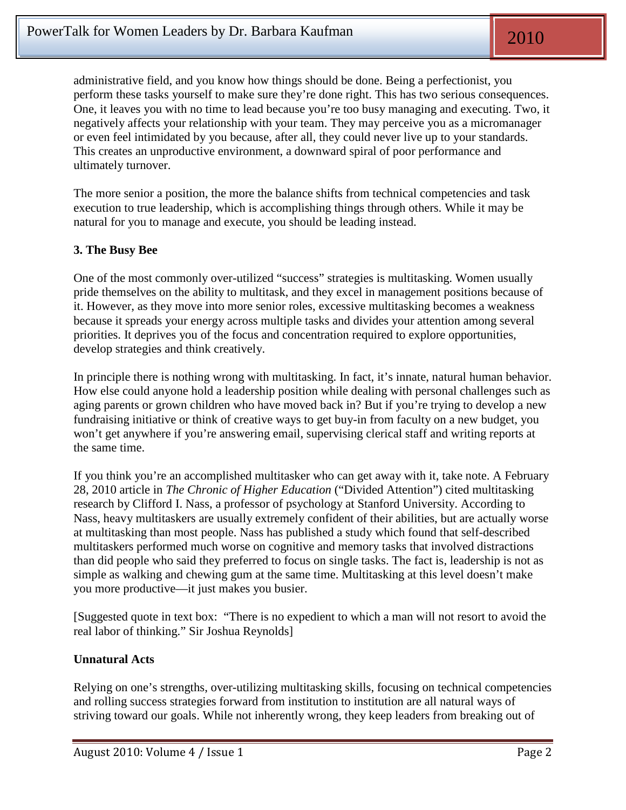administrative field, and you know how things should be done. Being a perfectionist, you perform these tasks yourself to make sure they're done right. This has two serious consequences. One, it leaves you with no time to lead because you're too busy managing and executing. Two, it negatively affects your relationship with your team. They may perceive you as a micromanager or even feel intimidated by you because, after all, they could never live up to your standards. This creates an unproductive environment, a downward spiral of poor performance and ultimately turnover.

The more senior a position, the more the balance shifts from technical competencies and task execution to true leadership, which is accomplishing things through others. While it may be natural for you to manage and execute, you should be leading instead.

### **3. The Busy Bee**

One of the most commonly over-utilized "success" strategies is multitasking. Women usually pride themselves on the ability to multitask, and they excel in management positions because of it. However, as they move into more senior roles, excessive multitasking becomes a weakness because it spreads your energy across multiple tasks and divides your attention among several priorities. It deprives you of the focus and concentration required to explore opportunities, develop strategies and think creatively.

In principle there is nothing wrong with multitasking. In fact, it's innate, natural human behavior. How else could anyone hold a leadership position while dealing with personal challenges such as aging parents or grown children who have moved back in? But if you're trying to develop a new fundraising initiative or think of creative ways to get buy-in from faculty on a new budget, you won't get anywhere if you're answering email, supervising clerical staff and writing reports at the same time.

If you think you're an accomplished multitasker who can get away with it, take note. A February 28, 2010 article in *The Chronic of Higher Education* ("Divided Attention") cited multitasking research by Clifford I. Nass, a professor of psychology at Stanford University. According to Nass, heavy multitaskers are usually extremely confident of their abilities, but are actually worse at multitasking than most people. Nass has published a study which found that self-described multitaskers performed much worse on cognitive and memory tasks that involved distractions than did people who said they preferred to focus on single tasks. The fact is, leadership is not as simple as walking and chewing gum at the same time. Multitasking at this level doesn't make you more productive—it just makes you busier.

[Suggested quote in text box: "There is no expedient to which a man will not resort to avoid the real labor of thinking." Sir Joshua Reynolds]

#### **Unnatural Acts**

Relying on one's strengths, over-utilizing multitasking skills, focusing on technical competencies and rolling success strategies forward from institution to institution are all natural ways of striving toward our goals. While not inherently wrong, they keep leaders from breaking out of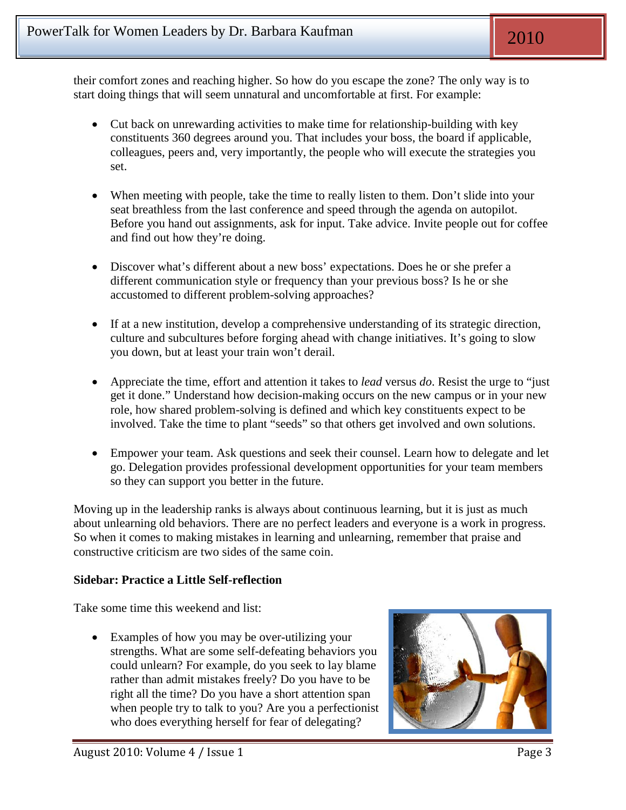their comfort zones and reaching higher. So how do you escape the zone? The only way is to start doing things that will seem unnatural and uncomfortable at first. For example:

- Cut back on unrewarding activities to make time for relationship-building with key constituents 360 degrees around you. That includes your boss, the board if applicable, colleagues, peers and, very importantly, the people who will execute the strategies you set.
- When meeting with people, take the time to really listen to them. Don't slide into your seat breathless from the last conference and speed through the agenda on autopilot. Before you hand out assignments, ask for input. Take advice. Invite people out for coffee and find out how they're doing.
- Discover what's different about a new boss' expectations. Does he or she prefer a different communication style or frequency than your previous boss? Is he or she accustomed to different problem-solving approaches?
- If at a new institution, develop a comprehensive understanding of its strategic direction, culture and subcultures before forging ahead with change initiatives. It's going to slow you down, but at least your train won't derail.
- Appreciate the time, effort and attention it takes to *lead* versus *do*. Resist the urge to "just get it done." Understand how decision-making occurs on the new campus or in your new role, how shared problem-solving is defined and which key constituents expect to be involved. Take the time to plant "seeds" so that others get involved and own solutions.
- Empower your team. Ask questions and seek their counsel. Learn how to delegate and let go. Delegation provides professional development opportunities for your team members so they can support you better in the future.

Moving up in the leadership ranks is always about continuous learning, but it is just as much about unlearning old behaviors. There are no perfect leaders and everyone is a work in progress. So when it comes to making mistakes in learning and unlearning, remember that praise and constructive criticism are two sides of the same coin.

## **Sidebar: Practice a Little Self-reflection**

Take some time this weekend and list:

• Examples of how you may be over-utilizing your strengths. What are some self-defeating behaviors you could unlearn? For example, do you seek to lay blame rather than admit mistakes freely? Do you have to be right all the time? Do you have a short attention span when people try to talk to you? Are you a perfectionist who does everything herself for fear of delegating?